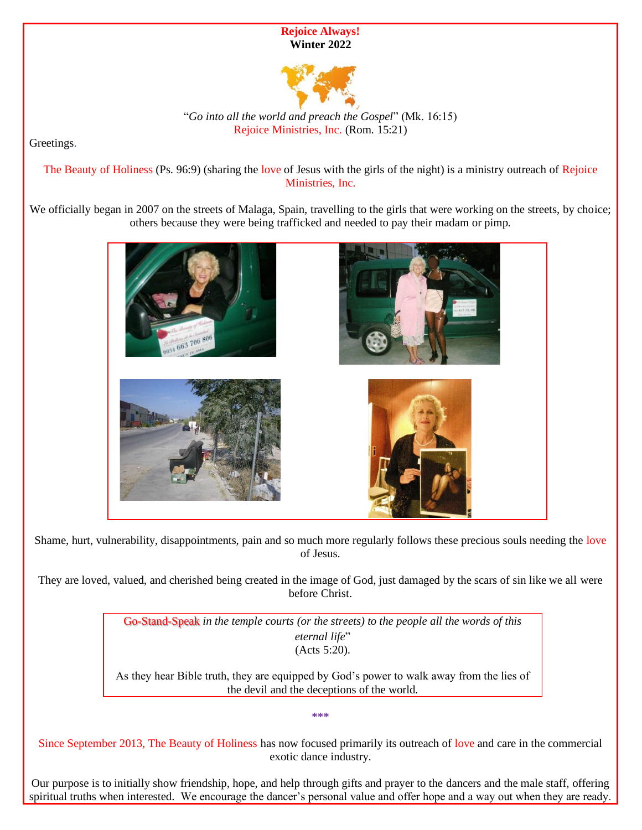



"*Go into all the world and preach the Gospel*" (Mk. 16:15) Rejoice Ministries, Inc. (Rom. 15:21)

Greetings.

The Beauty of Holiness (Ps. 96:9) (sharing the love of Jesus with the girls of the night) is a ministry outreach of Rejoice Ministries, Inc.

We officially began in 2007 on the streets of Malaga, Spain, travelling to the girls that were working on the streets, by choice; others because they were being trafficked and needed to pay their madam or pimp.



Shame, hurt, vulnerability, disappointments, pain and so much more regularly follows these precious souls needing the love of Jesus.

They are loved, valued, and cherished being created in the image of God, just damaged by the scars of sin like we all were before Christ.

> Go-Stand-Speak *in the temple courts (or the streets) to the people all the words of this eternal life*" (Acts 5:20).

As they hear Bible truth, they are equipped by God's power to walk away from the lies of the devil and the deceptions of the world.

**\*\*\***

Since September 2013, The Beauty of Holiness has now focused primarily its outreach of love and care in the commercial exotic dance industry.

Our purpose is to initially show friendship, hope, and help through gifts and prayer to the dancers and the male staff, offering spiritual truths when interested. We encourage the dancer's personal value and offer hope and a way out when they are ready.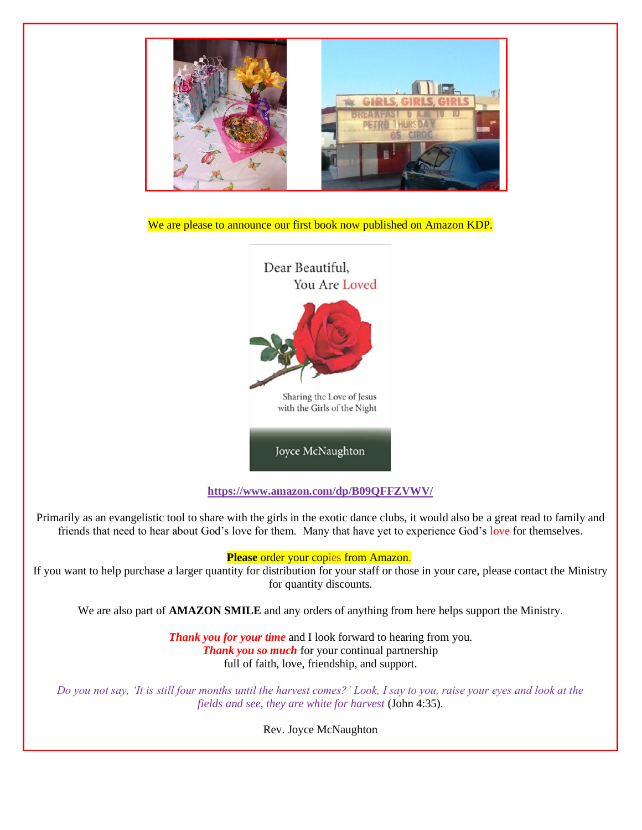

We are please to announce our first book now published on Amazon KDP.



**<https://www.amazon.com/dp/B09QFFZVWV/>**

Primarily as an evangelistic tool to share with the girls in the exotic dance clubs, it would also be a great read to family and friends that need to hear about God's love for them. Many that have yet to experience God's love for themselves.

## **Please** order your copies from Amazon.

If you want to help purchase a larger quantity for distribution for your staff or those in your care, please contact the Ministry for quantity discounts.

We are also part of **AMAZON SMILE** and any orders of anything from here helps support the Ministry.

*Thank you for your time* and I look forward to hearing from you. *Thank you so much* for your continual partnership full of faith, love, friendship, and support.

*Do you not say, 'It is still four months until the harvest comes?' Look, I say to you, raise your eyes and look at the fields and see, they are white for harvest* (John 4:35).

Rev. Joyce McNaughton